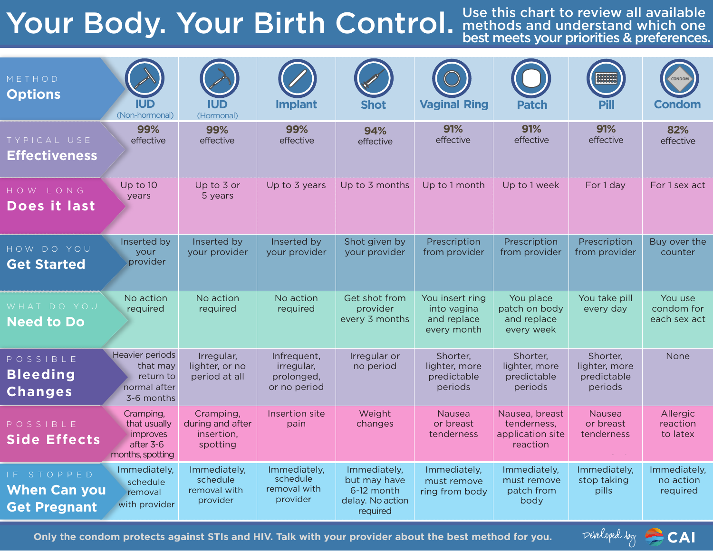# Your Body. Your Birth Control.

Use this chart to review all available methods and understand which one best meets your priorities & preferences.

| METHOD<br><b>Options</b>                                 | IUD<br>(Non-hormonal)                                                         | (Hormonal)                                              | <b>Implant</b>                                          | <b>Shot</b>                                                                | <b>Vaginal Ring</b>                                          | <b>Patch</b>                                                  | <b>2233332</b><br>2233332<br><b>Pill</b>            | CONDON<br><b>Condom</b>               |
|----------------------------------------------------------|-------------------------------------------------------------------------------|---------------------------------------------------------|---------------------------------------------------------|----------------------------------------------------------------------------|--------------------------------------------------------------|---------------------------------------------------------------|-----------------------------------------------------|---------------------------------------|
| TYPICAL USE<br><b>Effectiveness</b>                      | 99%<br>effective                                                              | 99%<br>effective                                        | 99%<br>effective                                        | 94%<br>effective                                                           | 91%<br>effective                                             | 91%<br>effective                                              | 91%<br>effective                                    | 82%<br>effective                      |
| HOW LONG<br>Does it last                                 | Up to 10<br>years                                                             | Up to 3 or<br>5 years                                   | Up to 3 years                                           | Up to 3 months                                                             | Up to 1 month                                                | Up to 1 week                                                  | For 1 day                                           | For 1 sex act                         |
| HOW DO YOU<br><b>Get Started</b>                         | Inserted by<br>your<br>provider                                               | Inserted by<br>your provider                            | Inserted by<br>your provider                            | Shot given by<br>your provider                                             | Prescription<br>from provider                                | Prescription<br>from provider                                 | Prescription<br>from provider                       | Buy over the<br>counter               |
| WHAT DO YOU<br><b>Need to Do</b>                         | No action<br>required                                                         | No action<br>required                                   | No action<br>required                                   | Get shot from<br>provider<br>every 3 months                                | You insert ring<br>into vagina<br>and replace<br>every month | You place<br>patch on body<br>and replace<br>every week       | You take pill<br>every day                          | You use<br>condom for<br>each sex act |
| POSSIBLE<br><b>Bleeding</b><br><b>Changes</b>            | Heavier periods<br>that may<br>return to<br>normal after<br>3-6 months        | Irregular,<br>lighter, or no<br>period at all           | Infrequent,<br>irregular,<br>prolonged,<br>or no period | Irregular or<br>no period                                                  | Shorter,<br>lighter, more<br>predictable<br>periods          | Shorter,<br>lighter, more<br>predictable<br>periods           | Shorter,<br>lighter, more<br>predictable<br>periods | None                                  |
| POSSIBLE<br><b>Side Effects</b>                          | Cramping,<br>that usually<br><i>improves</i><br>after 3-6<br>months, spotting | Cramping,<br>during and after<br>insertion,<br>spotting | Insertion site<br>pain                                  | Weight<br>changes                                                          | Nausea<br>or breast<br>tenderness                            | Nausea, breast<br>tenderness.<br>application site<br>reaction | <b>Nausea</b><br>or breast<br>tenderness            | Allergic<br>reaction<br>to latex      |
| IF STOPPED<br><b>When Can you</b><br><b>Get Pregnant</b> | Immediately,<br>schedule<br>removal<br>with provider                          | Immediately,<br>schedule<br>removal with<br>provider    | Immediately,<br>schedule<br>removal with<br>provider    | Immediately,<br>but may have<br>6-12 month<br>delay. No action<br>required | Immediately,<br>must remove<br>ring from body                | Immediately,<br>must remove<br>patch from<br>body             | Immediately,<br>stop taking<br>pills                | Immediately,<br>no action<br>required |

**Only the condom protects against STIs and HIV. Talk with your provider about the best method for you.**